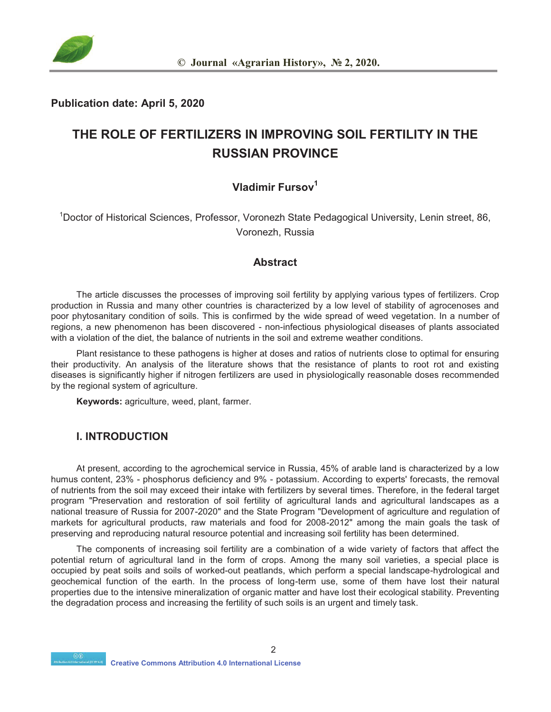

#### **Publication date: April 5, 2020**

## **THE ROLE OF FERTILIZERS IN IMPROVING SOIL FERTILITY IN THE RUSSIAN PROVINCE**

### **Vladimir Fursov1**

<sup>1</sup>Doctor of Historical Sciences, Professor, Voronezh State Pedagogical University, Lenin street, 86, Voronezh, Russia

#### **Abstract**

The article discusses the processes of improving soil fertility by applying various types of fertilizers. Crop production in Russia and many other countries is characterized by a low level of stability of agrocenoses and poor phytosanitary condition of soils. This is confirmed by the wide spread of weed vegetation. In a number of regions, a new phenomenon has been discovered - non-infectious physiological diseases of plants associated with a violation of the diet, the balance of nutrients in the soil and extreme weather conditions.

Plant resistance to these pathogens is higher at doses and ratios of nutrients close to optimal for ensuring their productivity. An analysis of the literature shows that the resistance of plants to root rot and existing diseases is significantly higher if nitrogen fertilizers are used in physiologically reasonable doses recommended by the regional system of agriculture.

**Keywords:** agriculture, weed, plant, farmer.

#### **I. INTRODUCTION**

At present, according to the agrochemical service in Russia, 45% of arable land is characterized by a low humus content, 23% - phosphorus deficiency and 9% - potassium. According to experts' forecasts, the removal of nutrients from the soil may exceed their intake with fertilizers by several times. Therefore, in the federal target program "Preservation and restoration of soil fertility of agricultural lands and agricultural landscapes as a national treasure of Russia for 2007-2020" and the State Program "Development of agriculture and regulation of markets for agricultural products, raw materials and food for 2008-2012" among the main goals the task of preserving and reproducing natural resource potential and increasing soil fertility has been determined.

The components of increasing soil fertility are a combination of a wide variety of factors that affect the potential return of agricultural land in the form of crops. Among the many soil varieties, a special place is occupied by peat soils and soils of worked-out peatlands, which perform a special landscape-hydrological and geochemical function of the earth. In the process of long-term use, some of them have lost their natural properties due to the intensive mineralization of organic matter and have lost their ecological stability. Preventing the degradation process and increasing the fertility of such soils is an urgent and timely task.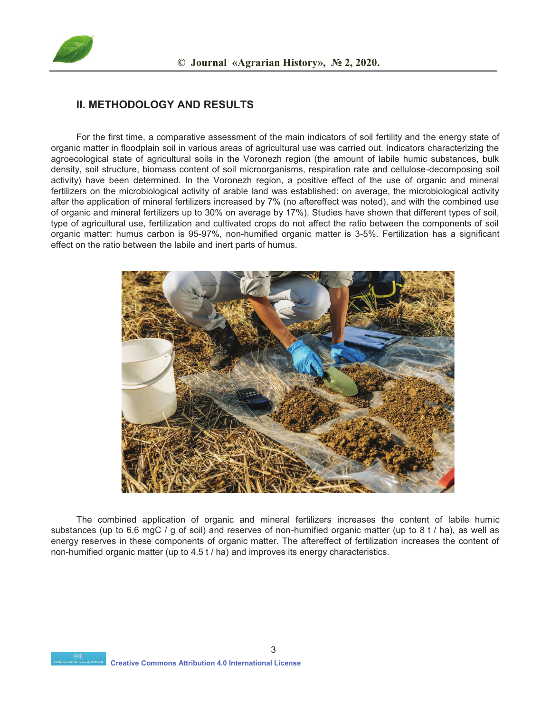

### **II. METHODOLOGY AND RESULTS**

For the first time, a comparative assessment of the main indicators of soil fertility and the energy state of organic matter in floodplain soil in various areas of agricultural use was carried out. Indicators characterizing the agroecological state of agricultural soils in the Voronezh region (the amount of labile humic substances, bulk density, soil structure, biomass content of soil microorganisms, respiration rate and cellulose-decomposing soil activity) have been determined. In the Voronezh region, a positive effect of the use of organic and mineral fertilizers on the microbiological activity of arable land was established: on average, the microbiological activity after the application of mineral fertilizers increased by 7% (no aftereffect was noted), and with the combined use of organic and mineral fertilizers up to 30% on average by 17%). Studies have shown that different types of soil, type of agricultural use, fertilization and cultivated crops do not affect the ratio between the components of soil organic matter: humus carbon is 95-97%, non-humified organic matter is 3-5%. Fertilization has a significant effect on the ratio between the labile and inert parts of humus.



The combined application of organic and mineral fertilizers increases the content of labile humic substances (up to 6.6 mgC / g of soil) and reserves of non-humified organic matter (up to 8 t / ha), as well as energy reserves in these components of organic matter. The aftereffect of fertilization increases the content of non-humified organic matter (up to 4.5 t / ha) and improves its energy characteristics.

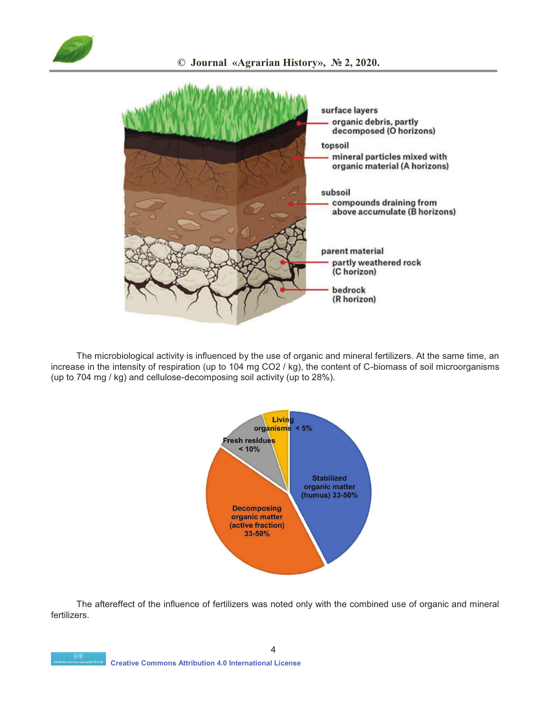



The microbiological activity is influenced by the use of organic and mineral fertilizers. At the same time, an increase in the intensity of respiration (up to 104 mg CO2 / kg), the content of C-biomass of soil microorganisms (up to 704 mg / kg) and cellulose-decomposing soil activity (up to 28%).



The aftereffect of the influence of fertilizers was noted only with the combined use of organic and mineral fertilizers.

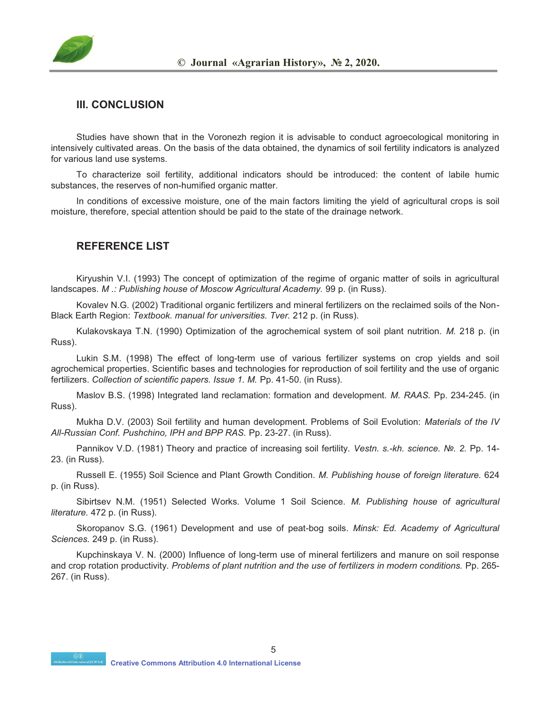

#### **III. CONCLUSION**

Studies have shown that in the Voronezh region it is advisable to conduct agroecological monitoring in intensively cultivated areas. On the basis of the data obtained, the dynamics of soil fertility indicators is analyzed for various land use systems.

To characterize soil fertility, additional indicators should be introduced: the content of labile humic substances, the reserves of non-humified organic matter.

In conditions of excessive moisture, one of the main factors limiting the yield of agricultural crops is soil moisture, therefore, special attention should be paid to the state of the drainage network.

#### **REFERENCE LIST**

Kiryushin V.I. (1993) The concept of optimization of the regime of organic matter of soils in agricultural landscapes. *M .: Publishing house of Moscow Agricultural Academy.* 99 p. (in Russ).

Kovalev N.G. (2002) Traditional organic fertilizers and mineral fertilizers on the reclaimed soils of the Non-Black Earth Region: *Textbook. manual for universities. Tver.* 212 p. (in Russ).

Kulakovskaya T.N. (1990) Optimization of the agrochemical system of soil plant nutrition. *M.* 218 p. (in Russ).

Lukin S.M. (1998) The effect of long-term use of various fertilizer systems on crop yields and soil agrochemical properties. Scientific bases and technologies for reproduction of soil fertility and the use of organic fertilizers. *Collection of scientific papers. Issue 1. M.* Pp. 41-50. (in Russ).

Maslov B.S. (1998) Integrated land reclamation: formation and development. *M. RAAS.* Pp. 234-245. (in Russ).

Mukha D.V. (2003) Soil fertility and human development. Problems of Soil Evolution: *Materials of the IV All-Russian Conf. Pushchino, IPH and BPP RAS.* Pp. 23-27. (in Russ).

Pannikov V.D. (1981) Theory and practice of increasing soil fertility. *Vestn. s.-kh. science. №. 2.* Pp. 14- 23. (in Russ).

Russell E. (1955) Soil Science and Plant Growth Condition. *M. Publishing house of foreign literature.* 624 p. (in Russ).

Sibirtsev N.M. (1951) Selected Works. Volume 1 Soil Science. *M. Publishing house of agricultural literature.* 472 p. (in Russ).

Skoropanov S.G. (1961) Development and use of peat-bog soils. *Minsk: Ed. Academy of Agricultural Sciences.* 249 p. (in Russ).

Kupchinskaya V. N. (2000) Influence of long-term use of mineral fertilizers and manure on soil response and crop rotation productivity. *Problems of plant nutrition and the use of fertilizers in modern conditions.* Pp. 265- 267. (in Russ).